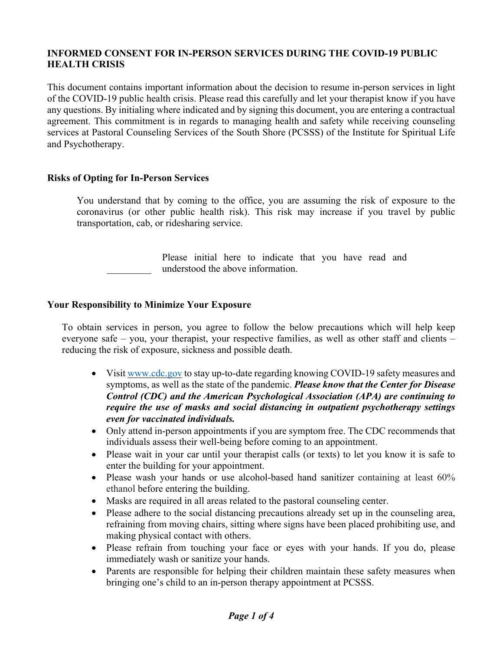# **INFORMED CONSENT FOR IN-PERSON SERVICES DURING THE COVID-19 PUBLIC HEALTH CRISIS**

This document contains important information about the decision to resume in-person services in light of the COVID-19 public health crisis. Please read this carefully and let your therapist know if you have any questions. By initialing where indicated and by signing this document, you are entering a contractual agreement. This commitment is in regards to managing health and safety while receiving counseling services at Pastoral Counseling Services of the South Shore (PCSSS) of the Institute for Spiritual Life and Psychotherapy.

## **Risks of Opting for In-Person Services**

You understand that by coming to the office, you are assuming the risk of exposure to the coronavirus (or other public health risk). This risk may increase if you travel by public transportation, cab, or ridesharing service.

> Please initial here to indicate that you have read and understood the above information.

## **Your Responsibility to Minimize Your Exposure**

To obtain services in person, you agree to follow the below precautions which will help keep everyone safe – you, your therapist, your respective families, as well as other staff and clients – reducing the risk of exposure, sickness and possible death.

- Visit www.cdc.gov to stay up-to-date regarding knowing COVID-19 safety measures and symptoms, as well as the state of the pandemic. *Please know that the Center for Disease Control (CDC) and the American Psychological Association (APA) are continuing to require the use of masks and social distancing in outpatient psychotherapy settings even for vaccinated individuals.*
- Only attend in-person appointments if you are symptom free. The CDC recommends that individuals assess their well-being before coming to an appointment.
- Please wait in your car until your therapist calls (or texts) to let you know it is safe to enter the building for your appointment.
- Please wash your hands or use alcohol-based hand sanitizer containing at least 60% ethanol before entering the building.
- Masks are required in all areas related to the pastoral counseling center.
- Please adhere to the social distancing precautions already set up in the counseling area, refraining from moving chairs, sitting where signs have been placed prohibiting use, and making physical contact with others.
- Please refrain from touching your face or eyes with your hands. If you do, please immediately wash or sanitize your hands.
- Parents are responsible for helping their children maintain these safety measures when bringing one's child to an in-person therapy appointment at PCSSS.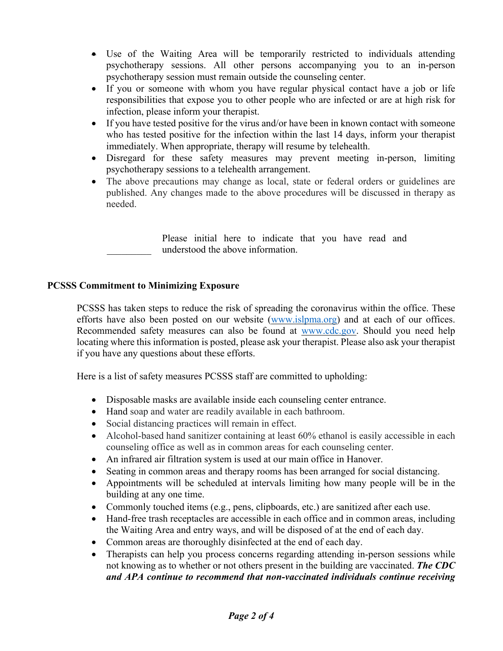- Use of the Waiting Area will be temporarily restricted to individuals attending psychotherapy sessions. All other persons accompanying you to an in-person psychotherapy session must remain outside the counseling center.
- If you or someone with whom you have regular physical contact have a job or life responsibilities that expose you to other people who are infected or are at high risk for infection, please inform your therapist.
- If you have tested positive for the virus and/or have been in known contact with someone who has tested positive for the infection within the last 14 days, inform your therapist immediately. When appropriate, therapy will resume by telehealth.
- Disregard for these safety measures may prevent meeting in-person, limiting psychotherapy sessions to a telehealth arrangement.
- The above precautions may change as local, state or federal orders or guidelines are published. Any changes made to the above procedures will be discussed in therapy as needed.

Please initial here to indicate that you have read and understood the above information.

## **PCSSS Commitment to Minimizing Exposure**

PCSSS has taken steps to reduce the risk of spreading the coronavirus within the office. These efforts have also been posted on our website (www.islpma.org) and at each of our offices. Recommended safety measures can also be found at www.cdc.gov. Should you need help locating where this information is posted, please ask your therapist. Please also ask your therapist if you have any questions about these efforts.

Here is a list of safety measures PCSSS staff are committed to upholding:

- Disposable masks are available inside each counseling center entrance.
- Hand soap and water are readily available in each bathroom.
- Social distancing practices will remain in effect.
- Alcohol-based hand sanitizer containing at least 60% ethanol is easily accessible in each counseling office as well as in common areas for each counseling center.
- An infrared air filtration system is used at our main office in Hanover.
- Seating in common areas and therapy rooms has been arranged for social distancing.
- Appointments will be scheduled at intervals limiting how many people will be in the building at any one time.
- Commonly touched items (e.g., pens, clipboards, etc.) are sanitized after each use.
- Hand-free trash receptacles are accessible in each office and in common areas, including the Waiting Area and entry ways, and will be disposed of at the end of each day.
- Common areas are thoroughly disinfected at the end of each day.
- Therapists can help you process concerns regarding attending in-person sessions while not knowing as to whether or not others present in the building are vaccinated. *The CDC and APA continue to recommend that non-vaccinated individuals continue receiving*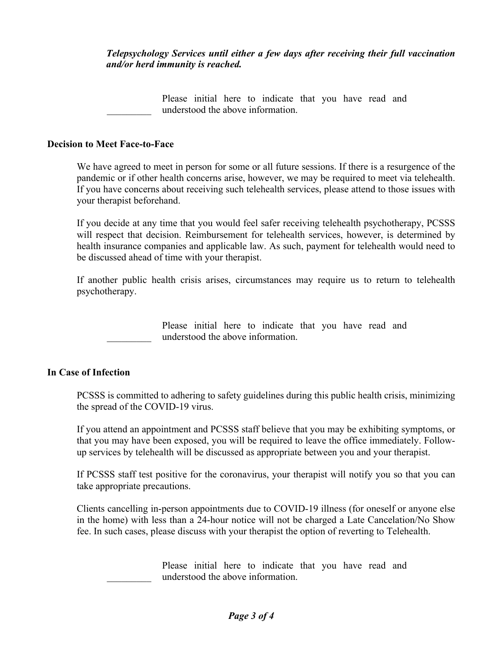*Telepsychology Services until either a few days after receiving their full vaccination and/or herd immunity is reached.*

Please initial here to indicate that you have read and understood the above information.

#### **Decision to Meet Face-to-Face**

We have agreed to meet in person for some or all future sessions. If there is a resurgence of the pandemic or if other health concerns arise, however, we may be required to meet via telehealth. If you have concerns about receiving such telehealth services, please attend to those issues with your therapist beforehand.

If you decide at any time that you would feel safer receiving telehealth psychotherapy, PCSSS will respect that decision. Reimbursement for telehealth services, however, is determined by health insurance companies and applicable law. As such, payment for telehealth would need to be discussed ahead of time with your therapist.

If another public health crisis arises, circumstances may require us to return to telehealth psychotherapy.

> Please initial here to indicate that you have read and understood the above information.

## **In Case of Infection**

PCSSS is committed to adhering to safety guidelines during this public health crisis, minimizing the spread of the COVID-19 virus.

If you attend an appointment and PCSSS staff believe that you may be exhibiting symptoms, or that you may have been exposed, you will be required to leave the office immediately. Followup services by telehealth will be discussed as appropriate between you and your therapist.

If PCSSS staff test positive for the coronavirus, your therapist will notify you so that you can take appropriate precautions.

Clients cancelling in-person appointments due to COVID-19 illness (for oneself or anyone else in the home) with less than a 24-hour notice will not be charged a Late Cancelation/No Show fee. In such cases, please discuss with your therapist the option of reverting to Telehealth.

> Please initial here to indicate that you have read and understood the above information.